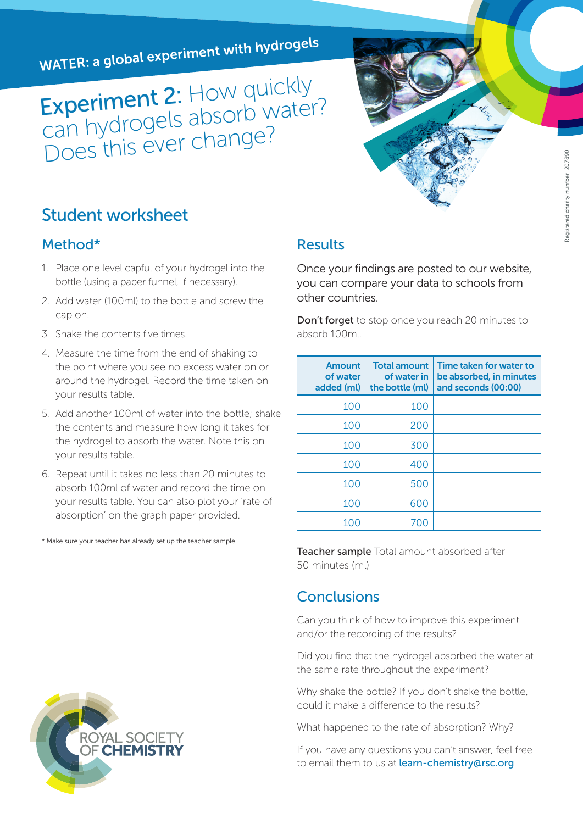WATER: a global experiment with hydrogels

Experiment 2: How quickly Experiment 2. The Water?<br>Can hydrogels absorb water? can riydiogers -<br>Does this ever change?

## Student worksheet

#### Method\*

- 1. Place one level capful of your hydrogel into the bottle (using a paper funnel, if necessary).
- 2. Add water (100ml) to the bottle and screw the cap on.
- 3. Shake the contents five times.
- 4. Measure the time from the end of shaking to the point where you see no excess water on or around the hydrogel. Record the time taken on your results table.
- 5. Add another 100ml of water into the bottle; shake the contents and measure how long it takes for the hydrogel to absorb the water. Note this on your results table.
- 6. Repeat until it takes no less than 20 minutes to absorb 100ml of water and record the time on your results table. You can also plot your 'rate of absorption' on the graph paper provided.

\* Make sure your teacher has already set up the teacher sample

#### Results

Once your findings are posted to our website, you can compare your data to schools from other countries.

Don't forget to stop once you reach 20 minutes to absorb 100ml.

| Amount<br>of water<br>added (ml) | <b>Total amount</b><br>of water in<br>the bottle (ml) | Time taken for water to<br>be absorbed, in minutes<br>and seconds (00:00) |
|----------------------------------|-------------------------------------------------------|---------------------------------------------------------------------------|
| 100                              | 100                                                   |                                                                           |
| 100                              | 200                                                   |                                                                           |
| 100                              | 300                                                   |                                                                           |
| 100                              | 400                                                   |                                                                           |
| 100                              | 500                                                   |                                                                           |
| 100                              | 600                                                   |                                                                           |
| 100                              | 700                                                   |                                                                           |

Teacher sample Total amount absorbed after 50 minutes (ml)

### Conclusions

Can you think of how to improve this experiment and/or the recording of the results?

Did you find that the hydrogel absorbed the water at the same rate throughout the experiment?

Why shake the bottle? If you don't shake the bottle, could it make a difference to the results?

What happened to the rate of absorption? Why?

If you have any questions you can't answer, feel free to email them to us at learn-chemistry@rsc.org